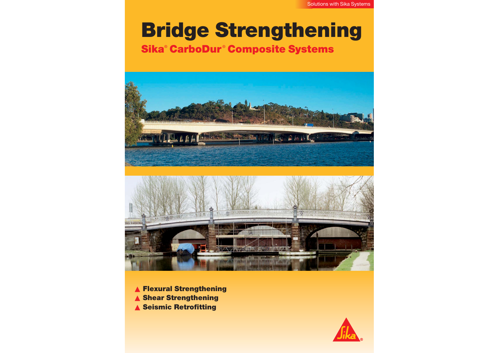## **Bridge Strengthening Sika ® CarboDur ® Composite Systems**





▲ **Flexural Strengthening** ▲ **Shear Strengthening** ▲ **Seismic Retrofitting**

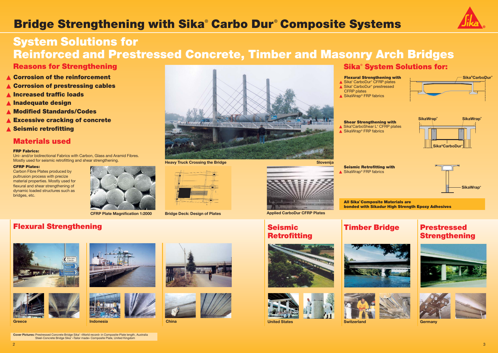

## **Flexural Strengthening**





2



# **Bridge Strengthening with Sika® Carbo Dur ® Composite Systems**

## **System Solutions for Reinforced and Prestressed Concrete, Timber and Masonry Arch Bridges**

**Greece**



**Indonesia China**

**Flexural Strengthening with** ▲ Sika<sup>®</sup> CarboDur<sup>®</sup> CFRP plates ▲ Sika<sup>®</sup> CarboDur<sup>®</sup> prestressed

▲ SikaWrap<sup>®</sup> FRP fabrics

## **Seismic Retrofitting**





## **Timber Bridge**







**Switzerland**

## **Prestressed Strengthening**





**Germany**



**Shear Strengthening with** ▲ Sika**®**CarboShear L**®** CFRP plates ▲ SikaWrap<sup>®</sup> FRP fabrics

# **Sika® System Solutions for:**

**Seismic Retrofitting with** ▲ SikaWrap<sup>®</sup> FRP fabrics

CFRP plates

- ▲ **Corrosion of the reinforcement**
- ▲ **Corrosion of prestressing cables**
- ▲ **Increased traffic loads**
- ▲ **Inadequate design**
- ▲ **Modified Standards/Codes**
- ▲ **Excessive cracking of concrete**
- ▲ **Seismic retrofitting**

**All Sika© Composite Materials are bonded with Sikadur High Strength Epoxy Adhesives** 



## **Reasons for Strengthening**

**Cover Pictures:** Prestressed Concrete Bridge Sika® «World record» in Composite-Plate length, Australia Steel-Concrete Bridge Sika® «Tailor made» Composite Plate, United Kingdom











### **FRP Fabrics:**

Uni- and/or bidirectional Fabrics with Carbon, Glass and Aramid Fibres. Mostly used for seismic retrofitting and shear strengthening.

### **CFRP Plates:**

Carbon Fibre Plates produced by pultrusion process with precize material properties. Mostly used for flexural and shear strengthening of dynamic loaded structures such as bridges, etc.



## **Materials used**







**CFRP Plate Magnification 1:2000 Bridge Deck: Design of Plates Applied CarboDur CFRP Plates**